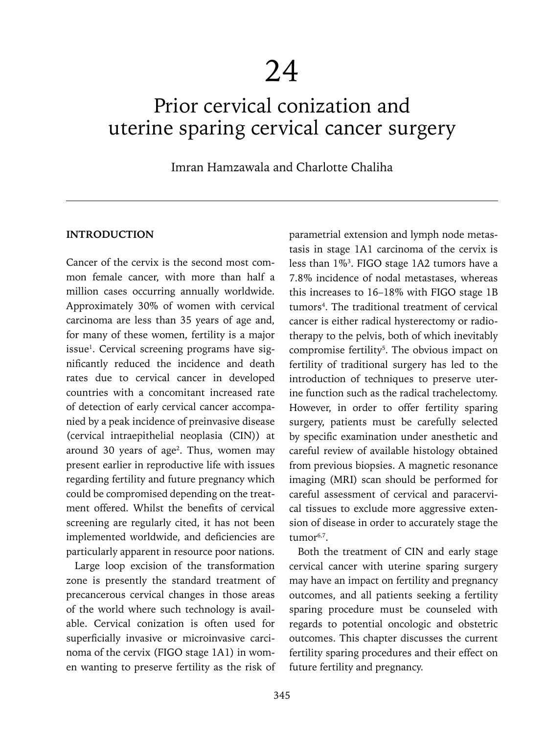# Prior cervical conization and uterine sparing cervical cancer surgery

# Imran Hamzawala and Charlotte Chaliha

#### **INTRODUCTION**

Cancer of the cervix is the second most common female cancer, with more than half a million cases occurring annually worldwide. Approximately 30% of women with cervical carcinoma are less than 35 years of age and, for many of these women, fertility is a major issue<sup>1</sup>. Cervical screening programs have significantly reduced the incidence and death rates due to cervical cancer in developed countries with a concomitant increased rate of detection of early cervical cancer accompanied by a peak incidence of preinvasive disease (cervical intraepithelial neoplasia (CIN)) at around 30 years of age<sup>2</sup>. Thus, women may present earlier in reproductive life with issues regarding fertility and future pregnancy which could be compromised depending on the treatment offered. Whilst the benefits of cervical screening are regularly cited, it has not been implemented worldwide, and deficiencies are particularly apparent in resource poor nations.

Large loop excision of the transformation zone is presently the standard treatment of precancerous cervical changes in those areas of the world where such technology is available. Cervical conization is often used for superficially invasive or microinvasive carcinoma of the cervix (FIGO stage 1A1) in women wanting to preserve fertility as the risk of

parametrial extension and lymph node metastasis in stage 1A1 carcinoma of the cervix is less than 1%3 . FIGO stage 1A2 tumors have a 7.8% incidence of nodal metastases, whereas this increases to 16–18% with FIGO stage 1B tumors<sup>4</sup>. The traditional treatment of cervical cancer is either radical hysterectomy or radiotherapy to the pelvis, both of which inevitably compromise fertility<sup>5</sup>. The obvious impact on fertility of traditional surgery has led to the introduction of techniques to preserve uterine function such as the radical trachelectomy. However, in order to offer fertility sparing surgery, patients must be carefully selected by specific examination under anesthetic and careful review of available histology obtained from previous biopsies. A magnetic resonance imaging (MRI) scan should be performed for careful assessment of cervical and paracervical tissues to exclude more aggressive extension of disease in order to accurately stage the  $t$ umor $6,7$ .

Both the treatment of CIN and early stage cervical cancer with uterine sparing surgery may have an impact on fertility and pregnancy outcomes, and all patients seeking a fertility sparing procedure must be counseled with regards to potential oncologic and obstetric outcomes. This chapter discusses the current fertility sparing procedures and their effect on future fertility and pregnancy.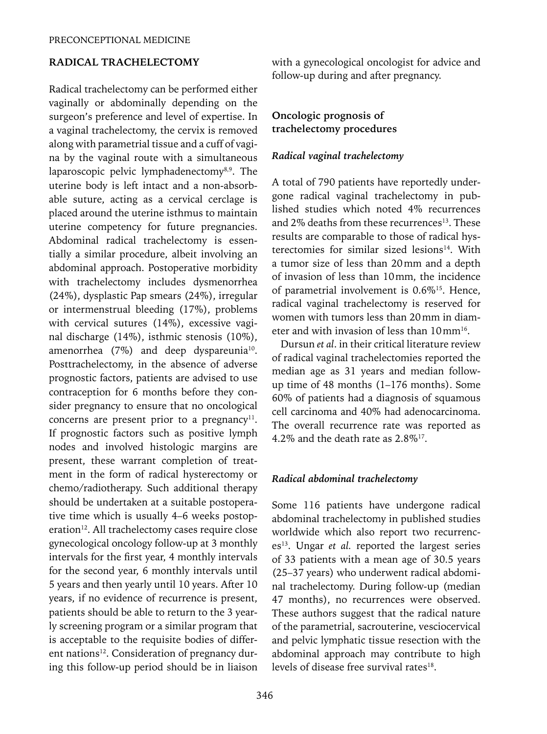## **RADICAL TRACHELECTOMY**

Radical trachelectomy can be performed either vaginally or abdominally depending on the surgeon's preference and level of expertise. In a vaginal trachelectomy, the cervix is removed along with parametrial tissue and a cuff of vagina by the vaginal route with a simultaneous laparoscopic pelvic lymphadenectomy<sup>8,9</sup>. The uterine body is left intact and a non-absorbable suture, acting as a cervical cerclage is placed around the uterine isthmus to maintain uterine competency for future pregnancies. Abdominal radical trachelectomy is essentially a similar procedure, albeit involving an abdominal approach. Postoperative morbidity with trachelectomy includes dysmenorrhea (24%), dysplastic Pap smears (24%), irregular or intermenstrual bleeding (17%), problems with cervical sutures (14%), excessive vaginal discharge (14%), isthmic stenosis (10%), amenorrhea (7%) and deep dyspareunia<sup>10</sup>. Posttrachelectomy, in the absence of adverse prognostic factors, patients are advised to use contraception for 6 months before they consider pregnancy to ensure that no oncological concerns are present prior to a pregnancy<sup>11</sup>. If prognostic factors such as positive lymph nodes and involved histologic margins are present, these warrant completion of treatment in the form of radical hysterectomy or chemo/radiotherapy. Such additional therapy should be undertaken at a suitable postoperative time which is usually 4–6 weeks postoperation<sup>12</sup>. All trachelectomy cases require close gynecological oncology follow-up at 3 monthly intervals for the first year, 4 monthly intervals for the second year, 6 monthly intervals until 5 years and then yearly until 10 years. After 10 years, if no evidence of recurrence is present, patients should be able to return to the 3 yearly screening program or a similar program that is acceptable to the requisite bodies of different nations<sup>12</sup>. Consideration of pregnancy during this follow-up period should be in liaison with a gynecological oncologist for advice and follow-up during and after pregnancy.

## **Oncologic prognosis of trachelectomy procedures**

#### *Radical vaginal trachelectomy*

A total of 790 patients have reportedly undergone radical vaginal trachelectomy in published studies which noted 4% recurrences and 2% deaths from these recurrences<sup>13</sup>. These results are comparable to those of radical hysterectomies for similar sized lesions<sup>14</sup>. With a tumor size of less than 20mm and a depth of invasion of less than 10mm, the incidence of parametrial involvement is 0.6%15. Hence, radical vaginal trachelectomy is reserved for women with tumors less than 20mm in diameter and with invasion of less than  $10 \text{ mm}^{16}$ .

Dursun *et al*. in their critical literature review of radical vaginal trachelectomies reported the median age as 31 years and median followup time of 48 months (1–176 months). Some 60% of patients had a diagnosis of squamous cell carcinoma and 40% had adenocarcinoma. The overall recurrence rate was reported as 4.2% and the death rate as 2.8%17.

#### *Radical abdominal trachelectomy*

Some 116 patients have undergone radical abdominal trachelectomy in published studies worldwide which also report two recurrences<sup>13</sup>. Ungar *et al.* reported the largest series of 33 patients with a mean age of 30.5 years (25–37 years) who underwent radical abdominal trachelectomy. During follow-up (median 47 months), no recurrences were observed. These authors suggest that the radical nature of the parametrial, sacrouterine, vesciocervical and pelvic lymphatic tissue resection with the abdominal approach may contribute to high levels of disease free survival rates $18$ .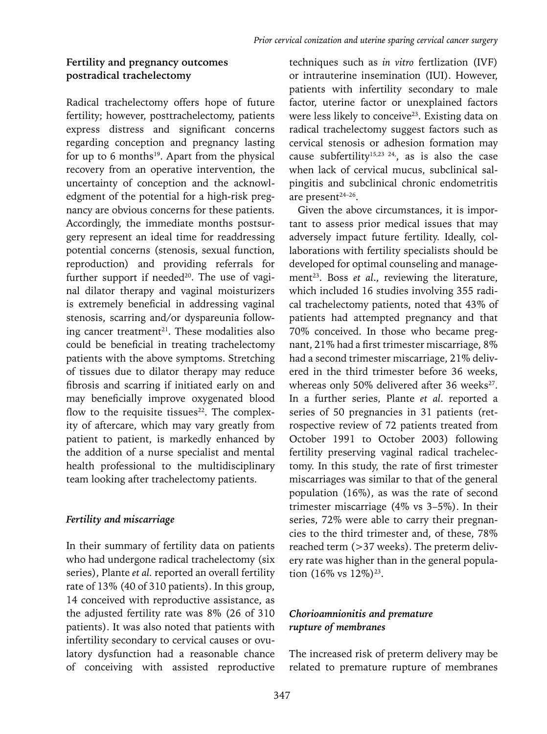# **Fertility and pregnancy outcomes postradical trachelectomy**

Radical trachelectomy offers hope of future fertility; however, posttrachelectomy, patients express distress and significant concerns regarding conception and pregnancy lasting for up to 6 months<sup>19</sup>. Apart from the physical recovery from an operative intervention, the uncertainty of conception and the acknowledgment of the potential for a high-risk pregnancy are obvious concerns for these patients. Accordingly, the immediate months postsurgery represent an ideal time for readdressing potential concerns (stenosis, sexual function, reproduction) and providing referrals for further support if needed<sup>20</sup>. The use of vaginal dilator therapy and vaginal moisturizers is extremely beneficial in addressing vaginal stenosis, scarring and/or dyspareunia following cancer treatment<sup>21</sup>. These modalities also could be beneficial in treating trachelectomy patients with the above symptoms. Stretching of tissues due to dilator therapy may reduce fibrosis and scarring if initiated early on and may beneficially improve oxygenated blood flow to the requisite tissues $22$ . The complexity of aftercare, which may vary greatly from patient to patient, is markedly enhanced by the addition of a nurse specialist and mental health professional to the multidisciplinary team looking after trachelectomy patients.

## *Fertility and miscarriage*

In their summary of fertility data on patients who had undergone radical trachelectomy (six series), Plante *et al.* reported an overall fertility rate of 13% (40 of 310 patients). In this group, 14 conceived with reproductive assistance, as the adjusted fertility rate was 8% (26 of 310 patients). It was also noted that patients with infertility secondary to cervical causes or ovulatory dysfunction had a reasonable chance of conceiving with assisted reproductive

techniques such as *in vitro* fertlization (IVF) or intrauterine insemination (IUI). However, patients with infertility secondary to male factor, uterine factor or unexplained factors were less likely to conceive<sup>23</sup>. Existing data on radical trachelectomy suggest factors such as cervical stenosis or adhesion formation may cause subfertility<sup>15,23 24</sup>, as is also the case when lack of cervical mucus, subclinical salpingitis and subclinical chronic endometritis are present<sup>24-26</sup>.

Given the above circumstances, it is important to assess prior medical issues that may adversely impact future fertility. Ideally, collaborations with fertility specialists should be developed for optimal counseling and management<sup>23</sup>. Boss *et al.*, reviewing the literature, which included 16 studies involving 355 radical trachelectomy patients, noted that 43% of patients had attempted pregnancy and that 70% conceived. In those who became pregnant, 21% had a first trimester miscarriage, 8% had a second trimester miscarriage, 21% delivered in the third trimester before 36 weeks, whereas only 50% delivered after 36 weeks<sup>27</sup>. In a further series, Plante *et al*. reported a series of 50 pregnancies in 31 patients (retrospective review of 72 patients treated from October 1991 to October 2003) following fertility preserving vaginal radical trachelectomy. In this study, the rate of first trimester miscarriages was similar to that of the general population (16%), as was the rate of second trimester miscarriage (4% vs 3–5%). In their series, 72% were able to carry their pregnancies to the third trimester and, of these, 78% reached term (>37 weeks). The preterm delivery rate was higher than in the general population  $(16\% \text{ vs } 12\%)^{23}$ .

# *Chorioamnionitis and premature rupture of membranes*

The increased risk of preterm delivery may be related to premature rupture of membranes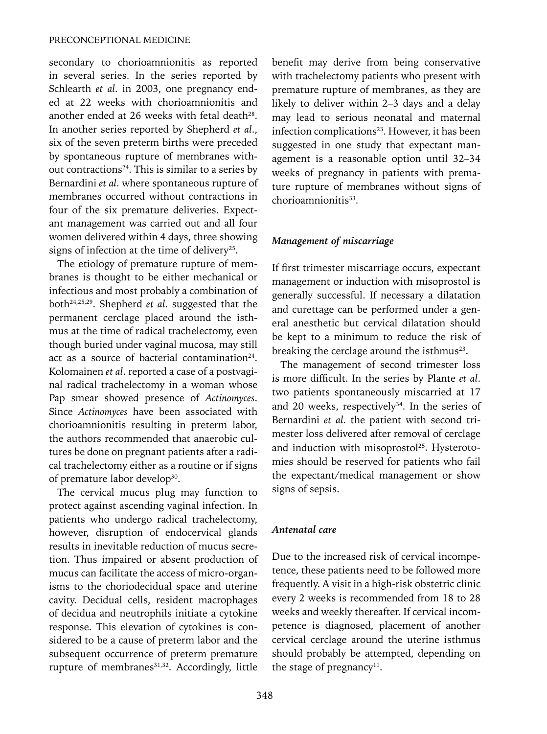secondary to chorioamnionitis as reported in several series. In the series reported by Schlearth *et al*. in 2003, one pregnancy ended at 22 weeks with chorioamnionitis and another ended at 26 weeks with fetal death<sup>28</sup>. In another series reported by Shepherd *et al*., six of the seven preterm births were preceded by spontaneous rupture of membranes without contractions<sup>24</sup>. This is similar to a series by Bernardini *et al*. where spontaneous rupture of membranes occurred without contractions in four of the six premature deliveries. Expectant management was carried out and all four women delivered within 4 days, three showing signs of infection at the time of delivery<sup>25</sup>.

The etiology of premature rupture of membranes is thought to be either mechanical or infectious and most probably a combination of both24,25,29. Shepherd *et al*. suggested that the permanent cerclage placed around the isthmus at the time of radical trachelectomy, even though buried under vaginal mucosa, may still act as a source of bacterial contamination<sup>24</sup>. Kolomainen *et al*. reported a case of a postvaginal radical trachelectomy in a woman whose Pap smear showed presence of *Actinomyces*. Since *Actinomyces* have been associated with chorioamnionitis resulting in preterm labor, the authors recommended that anaerobic cultures be done on pregnant patients after a radical trachelectomy either as a routine or if signs of premature labor develop<sup>30</sup>.

The cervical mucus plug may function to protect against ascending vaginal infection. In patients who undergo radical trachelectomy, however, disruption of endocervical glands results in inevitable reduction of mucus secretion. Thus impaired or absent production of mucus can facilitate the access of micro-organisms to the choriodecidual space and uterine cavity. Decidual cells, resident macrophages of decidua and neutrophils initiate a cytokine response. This elevation of cytokines is considered to be a cause of preterm labor and the subsequent occurrence of preterm premature rupture of membranes<sup>31,32</sup>. Accordingly, little benefit may derive from being conservative with trachelectomy patients who present with premature rupture of membranes, as they are likely to deliver within 2–3 days and a delay may lead to serious neonatal and maternal infection complications<sup>23</sup>. However, it has been suggested in one study that expectant management is a reasonable option until 32–34 weeks of pregnancy in patients with premature rupture of membranes without signs of chorioamnionitis<sup>33</sup>.

### *Management of miscarriage*

If first trimester miscarriage occurs, expectant management or induction with misoprostol is generally successful. If necessary a dilatation and curettage can be performed under a general anesthetic but cervical dilatation should be kept to a minimum to reduce the risk of breaking the cerclage around the isthmus<sup>23</sup>.

The management of second trimester loss is more difficult. In the series by Plante *et al*. two patients spontaneously miscarried at 17 and 20 weeks, respectively $34$ . In the series of Bernardini *et al*. the patient with second trimester loss delivered after removal of cerclage and induction with misoprostol<sup>25</sup>. Hysterotomies should be reserved for patients who fail the expectant/medical management or show signs of sepsis.

#### *Antenatal care*

Due to the increased risk of cervical incompetence, these patients need to be followed more frequently. A visit in a high-risk obstetric clinic every 2 weeks is recommended from 18 to 28 weeks and weekly thereafter. If cervical incompetence is diagnosed, placement of another cervical cerclage around the uterine isthmus should probably be attempted, depending on the stage of pregnancy<sup>11</sup>.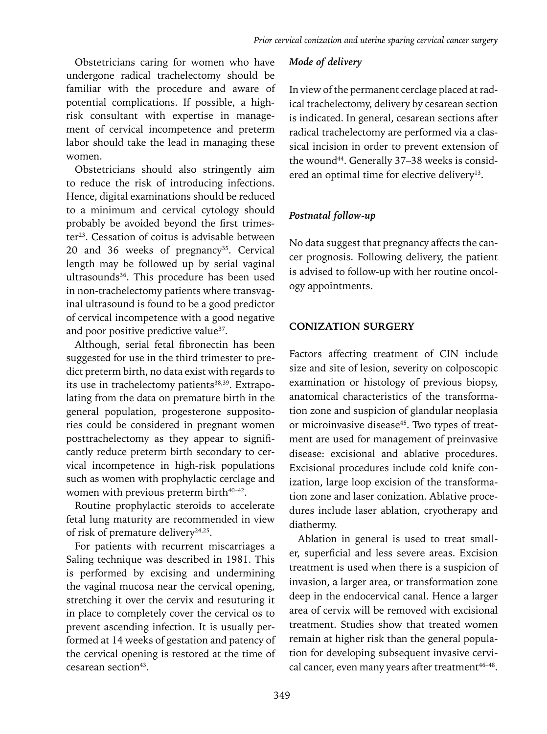Obstetricians caring for women who have undergone radical trachelectomy should be familiar with the procedure and aware of potential complications. If possible, a highrisk consultant with expertise in management of cervical incompetence and preterm labor should take the lead in managing these women.

Obstetricians should also stringently aim to reduce the risk of introducing infections. Hence, digital examinations should be reduced to a minimum and cervical cytology should probably be avoided beyond the first trimester<sup>23</sup>. Cessation of coitus is advisable between 20 and 36 weeks of pregnancy<sup>35</sup>. Cervical length may be followed up by serial vaginal ultrasounds<sup>36</sup>. This procedure has been used in non-trachelectomy patients where transvaginal ultrasound is found to be a good predictor of cervical incompetence with a good negative and poor positive predictive value<sup>37</sup>.

Although, serial fetal fibronectin has been suggested for use in the third trimester to predict preterm birth, no data exist with regards to its use in trachelectomy patients<sup>38,39</sup>. Extrapolating from the data on premature birth in the general population, progesterone suppositories could be considered in pregnant women posttrachelectomy as they appear to significantly reduce preterm birth secondary to cervical incompetence in high-risk populations such as women with prophylactic cerclage and women with previous preterm birth $40-42$ .

Routine prophylactic steroids to accelerate fetal lung maturity are recommended in view of risk of premature delivery<sup>24,25</sup>.

For patients with recurrent miscarriages a Saling technique was described in 1981. This is performed by excising and undermining the vaginal mucosa near the cervical opening, stretching it over the cervix and resuturing it in place to completely cover the cervical os to prevent ascending infection. It is usually performed at 14 weeks of gestation and patency of the cervical opening is restored at the time of cesarean section<sup>43</sup>.

### *Mode of delivery*

In view of the permanent cerclage placed at radical trachelectomy, delivery by cesarean section is indicated. In general, cesarean sections after radical trachelectomy are performed via a classical incision in order to prevent extension of the wound<sup>44</sup>. Generally 37-38 weeks is considered an optimal time for elective delivery<sup>13</sup>.

## *Postnatal follow-up*

No data suggest that pregnancy affects the cancer prognosis. Following delivery, the patient is advised to follow-up with her routine oncology appointments.

## **CONIZATION SURGERY**

Factors affecting treatment of CIN include size and site of lesion, severity on colposcopic examination or histology of previous biopsy, anatomical characteristics of the transformation zone and suspicion of glandular neoplasia or microinvasive disease<sup>45</sup>. Two types of treatment are used for management of preinvasive disease: excisional and ablative procedures. Excisional procedures include cold knife conization, large loop excision of the transformation zone and laser conization. Ablative procedures include laser ablation, cryotherapy and diathermy.

Ablation in general is used to treat smaller, superficial and less severe areas. Excision treatment is used when there is a suspicion of invasion, a larger area, or transformation zone deep in the endocervical canal. Hence a larger area of cervix will be removed with excisional treatment. Studies show that treated women remain at higher risk than the general population for developing subsequent invasive cervical cancer, even many years after treatment $46-48$ .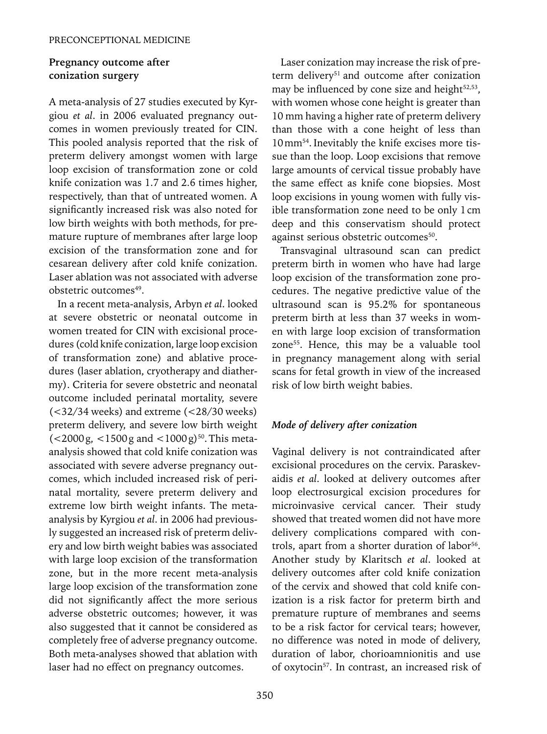## **Pregnancy outcome after conization surgery**

A meta-analysis of 27 studies executed by Kyrgiou *et al*. in 2006 evaluated pregnancy outcomes in women previously treated for CIN. This pooled analysis reported that the risk of preterm delivery amongst women with large loop excision of transformation zone or cold knife conization was 1.7 and 2.6 times higher, respectively, than that of untreated women. A significantly increased risk was also noted for low birth weights with both methods, for premature rupture of membranes after large loop excision of the transformation zone and for cesarean delivery after cold knife conization. Laser ablation was not associated with adverse obstetric outcomes<sup>49</sup>.

In a recent meta-analysis, Arbyn *et al*. looked at severe obstetric or neonatal outcome in women treated for CIN with excisional procedures (cold knife conization, large loop excision of transformation zone) and ablative procedures (laser ablation, cryotherapy and diathermy). Criteria for severe obstetric and neonatal outcome included perinatal mortality, severe (<32/34 weeks) and extreme (<28/30 weeks) preterm delivery, and severe low birth weight  $(<$  2000 g,  $<$  1500 g and  $<$  1000 g)<sup>50</sup>. This metaanalysis showed that cold knife conization was associated with severe adverse pregnancy outcomes, which included increased risk of perinatal mortality, severe preterm delivery and extreme low birth weight infants. The metaanalysis by Kyrgiou *et al*. in 2006 had previously suggested an increased risk of preterm delivery and low birth weight babies was associated with large loop excision of the transformation zone, but in the more recent meta-analysis large loop excision of the transformation zone did not significantly affect the more serious adverse obstetric outcomes; however, it was also suggested that it cannot be considered as completely free of adverse pregnancy outcome. Both meta-analyses showed that ablation with laser had no effect on pregnancy outcomes.

Laser conization may increase the risk of preterm delivery<sup>51</sup> and outcome after conization may be influenced by cone size and height $52,53$ , with women whose cone height is greater than 10 mm having a higher rate of preterm delivery than those with a cone height of less than 10mm54. Inevitably the knife excises more tissue than the loop. Loop excisions that remove large amounts of cervical tissue probably have the same effect as knife cone biopsies. Most loop excisions in young women with fully visible transformation zone need to be only 1cm deep and this conservatism should protect against serious obstetric outcomes<sup>50</sup>.

Transvaginal ultrasound scan can predict preterm birth in women who have had large loop excision of the transformation zone procedures. The negative predictive value of the ultrasound scan is 95.2% for spontaneous preterm birth at less than 37 weeks in women with large loop excision of transformation zone<sup>55</sup>. Hence, this may be a valuable tool in pregnancy management along with serial scans for fetal growth in view of the increased risk of low birth weight babies.

#### *Mode of delivery after conization*

Vaginal delivery is not contraindicated after excisional procedures on the cervix. Paraskevaidis *et al*. looked at delivery outcomes after loop electrosurgical excision procedures for microinvasive cervical cancer. Their study showed that treated women did not have more delivery complications compared with controls, apart from a shorter duration of labor<sup>56</sup>. Another study by Klaritsch *et al*. looked at delivery outcomes after cold knife conization of the cervix and showed that cold knife conization is a risk factor for preterm birth and premature rupture of membranes and seems to be a risk factor for cervical tears; however, no difference was noted in mode of delivery, duration of labor, chorioamnionitis and use of oxytocin57. In contrast, an increased risk of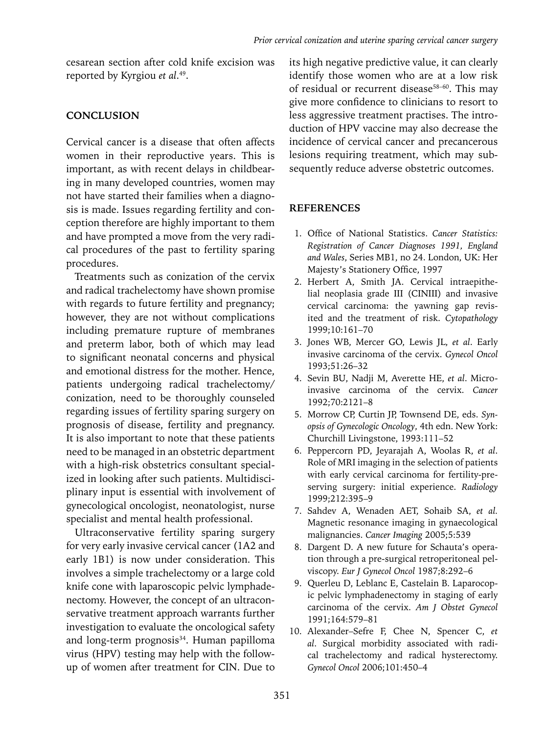cesarean section after cold knife excision was reported by Kyrgiou *et al*. 49.

## **CONCLUSION**

Cervical cancer is a disease that often affects women in their reproductive years. This is important, as with recent delays in childbearing in many developed countries, women may not have started their families when a diagnosis is made. Issues regarding fertility and conception therefore are highly important to them and have prompted a move from the very radical procedures of the past to fertility sparing procedures.

Treatments such as conization of the cervix and radical trachelectomy have shown promise with regards to future fertility and pregnancy; however, they are not without complications including premature rupture of membranes and preterm labor, both of which may lead to significant neonatal concerns and physical and emotional distress for the mother. Hence, patients undergoing radical trachelectomy/ conization, need to be thoroughly counseled regarding issues of fertility sparing surgery on prognosis of disease, fertility and pregnancy. It is also important to note that these patients need to be managed in an obstetric department with a high-risk obstetrics consultant specialized in looking after such patients. Multidisciplinary input is essential with involvement of gynecological oncologist, neonatologist, nurse specialist and mental health professional.

Ultraconservative fertility sparing surgery for very early invasive cervical cancer (1A2 and early 1B1) is now under consideration. This involves a simple trachelectomy or a large cold knife cone with laparoscopic pelvic lymphadenectomy. However, the concept of an ultraconservative treatment approach warrants further investigation to evaluate the oncological safety and long-term prognosis<sup>34</sup>. Human papilloma virus (HPV) testing may help with the followup of women after treatment for CIN. Due to

its high negative predictive value, it can clearly identify those women who are at a low risk of residual or recurrent disease<sup>58-60</sup>. This may give more confidence to clinicians to resort to less aggressive treatment practises. The introduction of HPV vaccine may also decrease the incidence of cervical cancer and precancerous lesions requiring treatment, which may subsequently reduce adverse obstetric outcomes.

## **References**

- 1. Office of National Statistics. *Cancer Statistics: Registration of Cancer Diagnoses 1991, England and Wales*, Series MB1, no 24. London, UK: Her Majesty's Stationery Office, 1997
- 2. Herbert A, Smith JA. Cervical intraepithelial neoplasia grade III (CINIII) and invasive cervical carcinoma: the yawning gap revisited and the treatment of risk. *Cytopathology* 1999;10:161–70
- 3. Jones WB, Mercer GO, Lewis JL, *et al*. Early invasive carcinoma of the cervix. *Gynecol Oncol* 1993;51:26–32
- 4. Sevin BU, Nadji M, Averette HE, *et al*. Microinvasive carcinoma of the cervix. *Cancer* 1992;70:2121–8
- 5. Morrow CP, Curtin JP, Townsend DE, eds. *Synopsis of Gynecologic Oncology*, 4th edn. New York: Churchill Livingstone, 1993:111–52
- 6. Peppercorn PD, Jeyarajah A, Woolas R, *et al*. Role of MRI imaging in the selection of patients with early cervical carcinoma for fertility-preserving surgery: initial experience. *Radiology* 1999;212:395–9
- 7. Sahdev A, Wenaden AET, Sohaib SA, *et al.* Magnetic resonance imaging in gynaecological malignancies. *Cancer Imaging* 2005;5:539
- 8. Dargent D. A new future for Schauta's operation through a pre-surgical retroperitoneal pelviscopy. *Eur J Gynecol Oncol* 1987;8:292–6
- 9. Querleu D, Leblanc E, Castelain B. Laparocopic pelvic lymphadenectomy in staging of early carcinoma of the cervix. *Am J Obstet Gynecol* 1991;164:579–81
- 10. Alexander–Sefre F, Chee N, Spencer C, *et al*. Surgical morbidity associated with radical trachelectomy and radical hysterectomy. *Gynecol Oncol* 2006;101:450–4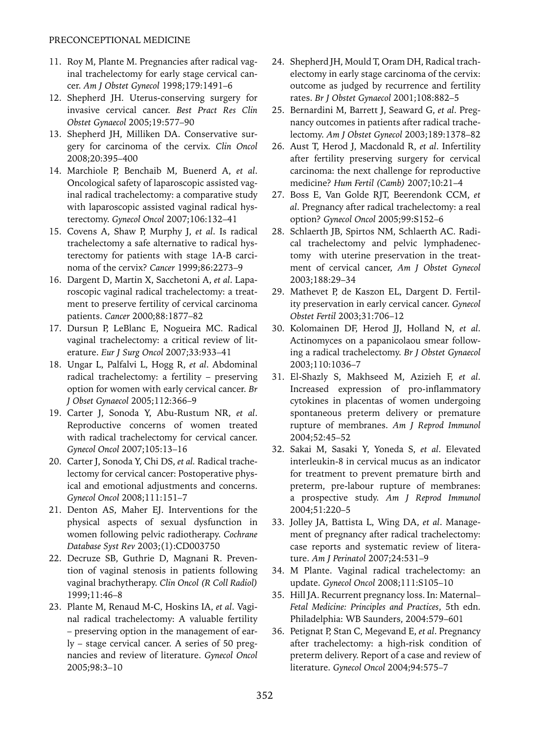- 11. Roy M, Plante M. Pregnancies after radical vaginal trachelectomy for early stage cervical cancer. *Am J Obstet Gynecol* 1998;179:1491–6
- 12. Shepherd JH. Uterus-conserving surgery for invasive cervical cancer. *Best Pract Res Clin Obstet Gynaecol* 2005;19:577–90
- 13. Shepherd JH, Milliken DA. Conservative surgery for carcinoma of the cervix*. Clin Oncol* 2008;20:395–400
- 14. Marchiole P, Benchaib M, Buenerd A, *et al*. Oncological safety of laparoscopic assisted vaginal radical trachelectomy: a comparative study with laparoscopic assisted vaginal radical hysterectomy. *Gynecol Oncol* 2007;106:132–41
- 15. Covens A, Shaw P, Murphy J, *et al*. Is radical trachelectomy a safe alternative to radical hysterectomy for patients with stage 1A-B carcinoma of the cervix? *Cancer* 1999;86:2273–9
- 16. Dargent D, Martin X, Sacchetoni A, *et al*. Laparoscopic vaginal radical trachelectomy: a treatment to preserve fertility of cervical carcinoma patients. *Cancer* 2000;88:1877–82
- 17. Dursun P, LeBlanc E, Nogueira MC. Radical vaginal trachelectomy: a critical review of literature. *Eur J Surg Oncol* 2007;33:933–41
- 18. Ungar L, Palfalvi L, Hogg R, *et al*. Abdominal radical trachelectomy: a fertility – preserving option for women with early cervical cancer. *Br J Obset Gynaecol* 2005;112:366–9
- 19. Carter J, Sonoda Y, Abu-Rustum NR, *et al*. Reproductive concerns of women treated with radical trachelectomy for cervical cancer. *Gynecol Oncol* 2007;105:13–16
- 20. Carter J, Sonoda Y, Chi DS, *et al.* Radical trachelectomy for cervical cancer: Postoperative physical and emotional adjustments and concerns. *Gynecol Oncol* 2008;111:151–7
- 21. Denton AS, Maher EJ. Interventions for the physical aspects of sexual dysfunction in women following pelvic radiotherapy. *Cochrane Database Syst Rev* 2003;(1):CD003750
- 22. Decruze SB, Guthrie D, Magnani R. Prevention of vaginal stenosis in patients following vaginal brachytherapy. *Clin Oncol (R Coll Radiol)* 1999;11:46–8
- 23. Plante M, Renaud M-C, Hoskins IA, *et al*. Vaginal radical trachelectomy: A valuable fertility – preserving option in the management of early – stage cervical cancer. A series of 50 pregnancies and review of literature. *Gynecol Oncol* 2005;98:3–10
- 24. Shepherd JH, Mould T, Oram DH, Radical trachelectomy in early stage carcinoma of the cervix: outcome as judged by recurrence and fertility rates. *Br J Obstet Gynaecol* 2001;108:882–5
- 25. Bernardini M, Barrett J, Seaward G, *et al*. Pregnancy outcomes in patients after radical trachelectomy. *Am J Obstet Gynecol* 2003;189:1378–82
- 26. Aust T, Herod J, Macdonald R, *et al*. Infertility after fertility preserving surgery for cervical carcinoma: the next challenge for reproductive medicine? *Hum Fertil (Camb)* 2007;10:21–4
- 27. Boss E, Van Golde RJT, Beerendonk CCM, *et al*. Pregnancy after radical trachelectomy: a real option? *Gynecol Oncol* 2005;99:S152–6
- 28. Schlaerth JB, Spirtos NM, Schlaerth AC. Radical trachelectomy and pelvic lymphadenectomy with uterine preservation in the treatment of cervical cancer, *Am J Obstet Gynecol* 2003;188:29–34
- 29. Mathevet P, de Kaszon EL, Dargent D. Fertility preservation in early cervical cancer. *Gynecol Obstet Fertil* 2003;31:706–12
- 30. Kolomainen DF, Herod JJ, Holland N, *et al*. Actinomyces on a papanicolaou smear following a radical trachelectomy. *Br J Obstet Gynaecol* 2003;110:1036–7
- 31. El-Shazly S, Makhseed M, Azizieh F, *et al*. Increased expression of pro-inflammatory cytokines in placentas of women undergoing spontaneous preterm delivery or premature rupture of membranes. *Am J Reprod Immunol* 2004;52:45–52
- 32. Sakai M, Sasaki Y, Yoneda S, *et al*. Elevated interleukin-8 in cervical mucus as an indicator for treatment to prevent premature birth and preterm, pre-labour rupture of membranes: a prospective study. *Am J Reprod Immunol* 2004;51:220–5
- 33. Jolley JA, Battista L, Wing DA, *et al*. Management of pregnancy after radical trachelectomy: case reports and systematic review of literature. *Am J Perinatol* 2007;24:531–9
- 34. M Plante. Vaginal radical trachelectomy: an update. *Gynecol Oncol* 2008;111:S105–10
- 35. Hill JA. Recurrent pregnancy loss. In: Maternal*– Fetal Medicine: Principles and Practices*, 5th edn. Philadelphia: WB Saunders, 2004:579–601
- 36. Petignat P, Stan C, Megevand E, *et al*. Pregnancy after trachelectomy: a high-risk condition of preterm delivery. Report of a case and review of literature. *Gynecol Oncol* 2004;94:575–7